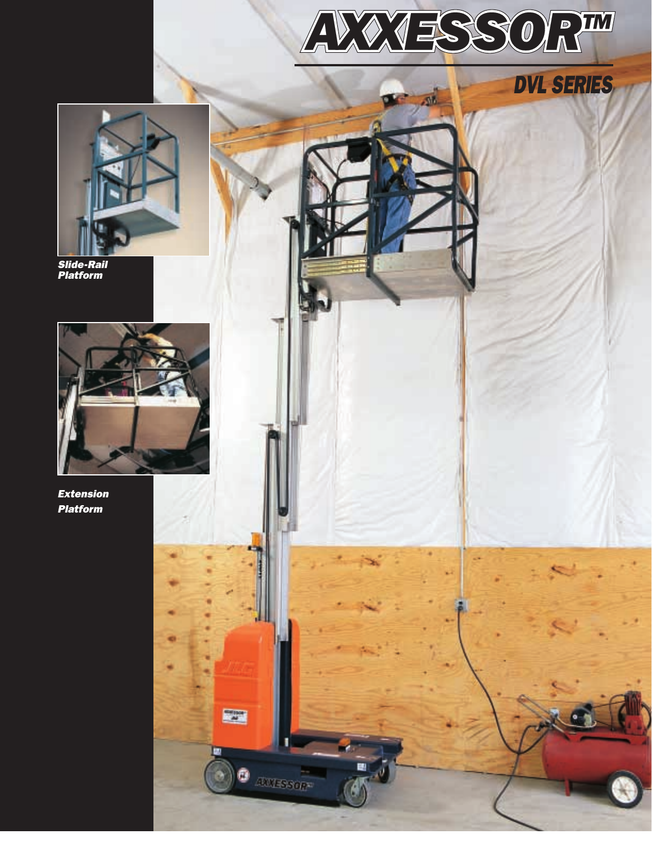



Slide-Rail Platform



Extension Platform

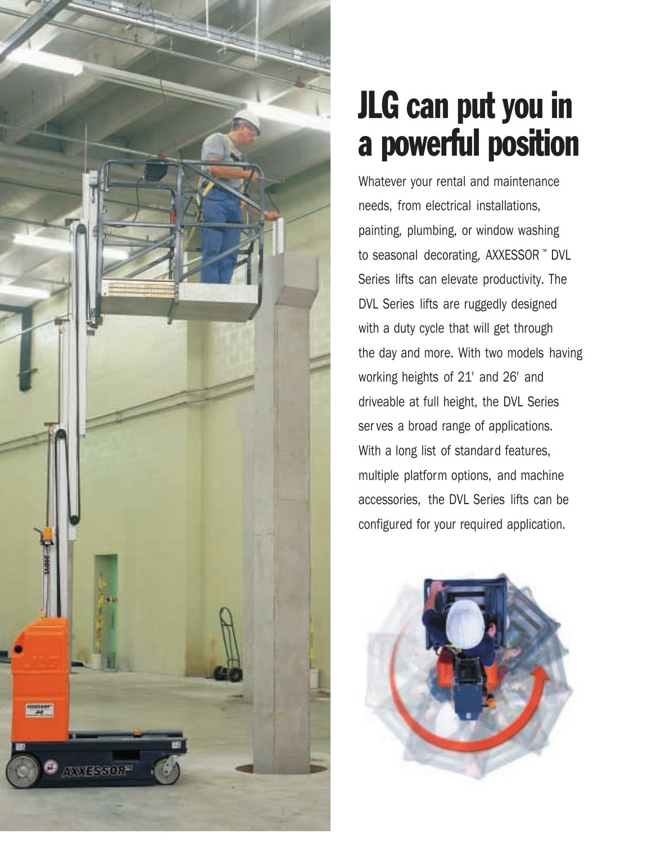

# JLG can put you in a powerful position

Whatever your rental and maintenance needs, from electrical installations, painting, plumbing, or window washing to seasonal decorating, AXXESSOR ™ DVL Series lifts can elevate productivity. The DVL Series lifts are ruggedly designed with a duty cycle that will get through the day and more. With two models having working heights of 21' and 26' and driveable at full height, the DVL Series ser ves a broad range of applications. With a long list of standard features, multiple platform options, and machine accessories, the DVL Series lifts can be configured for your required application.

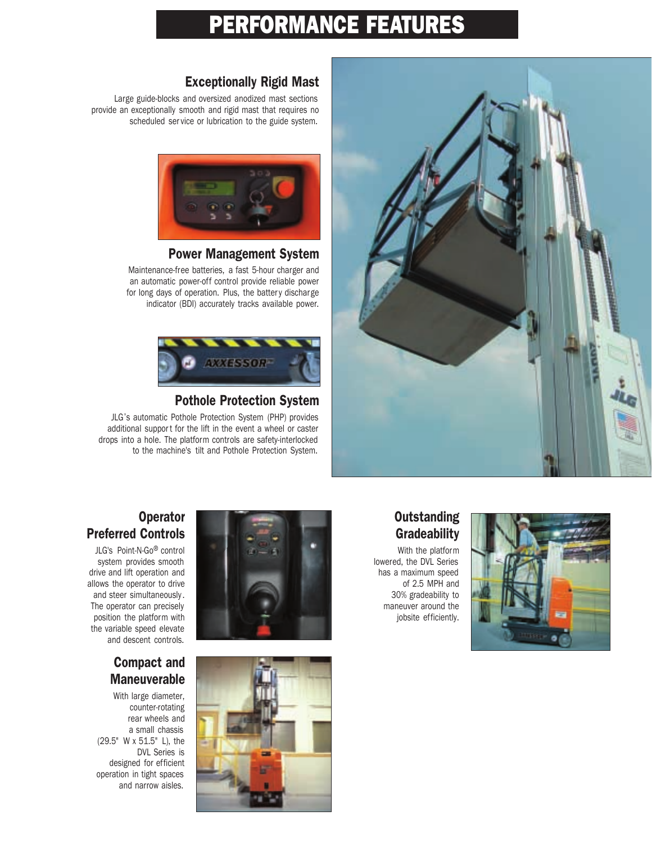# PERFORMANCE FEATURES



#### Exceptionally Rigid Mast

Large guide-blocks and oversized anodized mast sections provide an exceptionally smooth and rigid mast that requires no scheduled ser vice or lubrication to the guide system.



#### Power Management System

Maintenance-free batteries, a fast 5-hour charger and an automatic power-off control provide reliable power for long days of operation. Plus, the battery discharge indicator (BDI) accurately tracks available power.



#### Pothole Protection System

JLG's automatic Pothole Protection System (PHP) provides additional support for the lift in the event a wheel or caster drops into a hole. The platform controls are safety-interlocked to the machine's tilt and Pothole Protection System.

#### **Outstanding Gradeability**

With the platform lowered, the DVL Series has a maximum speed of 2.5 MPH and 30% gradeability to maneuver around the jobsite efficiently.



#### **Operator** Preferred Controls

JLG's Point-N-Go® control system provides smooth drive and lift operation and allows the operator to drive and steer simultaneously . The operator can precisely position the platform with the variable speed elevate and descent controls.

#### Compact and **Maneuverable**

With large diameter, counter-rotating rear wheels and a small chassis (29.5" W x 51.5" L), the DVL Series is designed for efficient operation in tight spaces and narrow aisles.